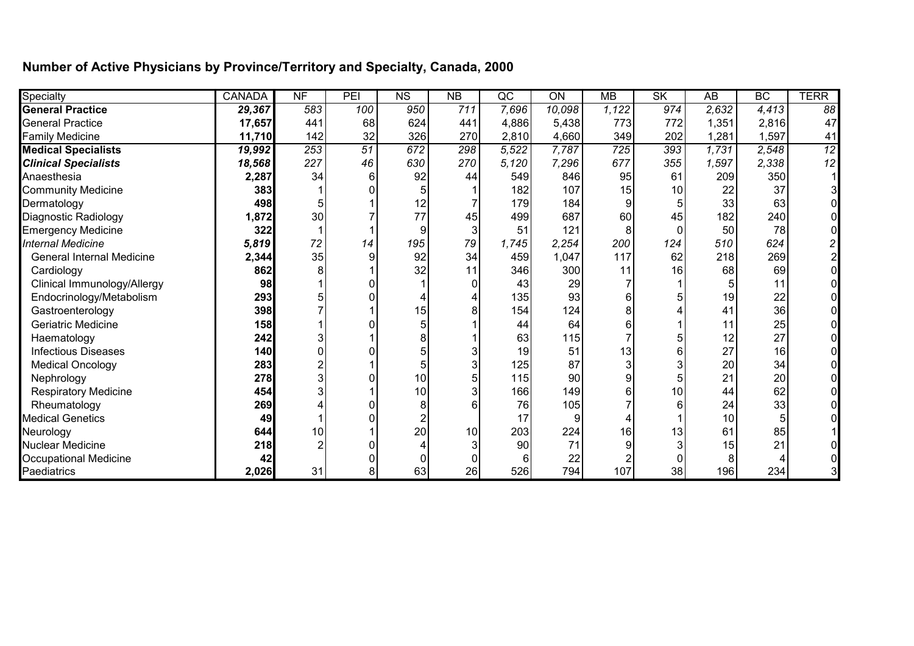## **Number of Active Physicians by Province/Territory and Specialty, Canada, 2000**

| Specialty                        | <b>CANADA</b> | N <sub>F</sub>  | PEI             | N <sub>S</sub>  | $\overline{AB}$ | $\overline{\mathsf{QC}}$ | $\overline{ON}$ | <b>MB</b>        | SK       | $\overline{AB}$ | BC              | <b>TERR</b> |
|----------------------------------|---------------|-----------------|-----------------|-----------------|-----------------|--------------------------|-----------------|------------------|----------|-----------------|-----------------|-------------|
| <b>General Practice</b>          | 29,367        | 583             | 100             | 950             | 711             | 7,696                    | 10,098          | 1,122            | 974      | 2,632           | 4,413           | 88          |
| <b>General Practice</b>          | 17,657        | 441             | 68              | 624             | 441             | 4,886                    | 5,438           | 773              | 772      | 1,351           | 2,816           | 47          |
| <b>Family Medicine</b>           | 11,710        | 142             | 32              | 326             | 270             | 2,810                    | 4,660           | 349              | 202      | 1,281           | 1,597           | 41          |
| <b>Medical Specialists</b>       | 19,992        | 253             | $\overline{51}$ | 672             | 298             | 5,522                    | 7,787           | $\overline{725}$ | 393      | 1,731           | 2,548           | 12          |
| <b>Clinical Specialists</b>      | 18,568        | 227             | 46              | 630             | 270             | 5,120                    | 7,296           | 677              | 355      | 1,597           | 2,338           | 12          |
| Anaesthesia                      | 2,287         | 34              | 6               | 92              | 44              | 549                      | 846             | 95               | 61       | 209             | 350             |             |
| <b>Community Medicine</b>        | 383           |                 |                 |                 |                 | 182                      | 107             | 15               | 10       | 22              | 37              |             |
| Dermatology                      | 498           |                 |                 | 12              |                 | 179                      | 184             |                  | 5        | 33              | 63              |             |
| Diagnostic Radiology             | 1,872         | 30 <sub>0</sub> |                 | 77              | 45              | 499                      | 687             | 60               | 45       | 182             | 240             |             |
| <b>Emergency Medicine</b>        | 322           |                 |                 | 9               |                 | 51                       | 121             |                  | $\Omega$ | 50              | 78              |             |
| <b>Internal Medicine</b>         | 5,819         | 72              | 14              | 195             | 79              | 1,745                    | 2,254           | 200              | 124      | 510             | 624             |             |
| <b>General Internal Medicine</b> | 2,344         | 35              | g               | 92              | 34              | 459                      | 1,047           | 117              | 62       | 218             | 269             |             |
| Cardiology                       | 862           |                 |                 | 32              |                 | 346                      | 300             | 11               | 16       | 68              | 69              |             |
| Clinical Immunology/Allergy      | 98            |                 |                 |                 |                 | 43                       | 29              |                  |          |                 | 11              |             |
| Endocrinology/Metabolism         | 293           |                 |                 |                 |                 | 135                      | 93              |                  |          | 19              | 22              |             |
| Gastroenterology                 | 398           |                 |                 | 15              |                 | 154                      | 124             |                  |          | 41              | 36              |             |
| Geriatric Medicine               | 158           |                 |                 |                 |                 | 44                       | 64              |                  |          | 11              | 25              |             |
| Haematology                      | 242           |                 |                 |                 |                 | 63                       | 115             |                  |          | 12              | 27              |             |
| <b>Infectious Diseases</b>       | 140           |                 |                 |                 |                 | 19                       | 51              | 13               | 6        | 27              | 16 <sup>1</sup> |             |
| <b>Medical Oncology</b>          | 283           |                 |                 |                 |                 | 125                      | 87              |                  | 3        | 20              | 34              |             |
| Nephrology                       | 278           |                 |                 | 10 <sup>1</sup> |                 | 115                      | 90              |                  | 5        | 21              | 20 <sup>2</sup> |             |
| <b>Respiratory Medicine</b>      | 454           |                 |                 | 10 <sup>1</sup> |                 | 166                      | 149             |                  | 10       | 44              | 62              |             |
| Rheumatology                     | 269           |                 |                 |                 |                 | 76                       | 105             |                  | 6        | 24              | 33              |             |
| <b>Medical Genetics</b>          | 49            |                 |                 |                 |                 | 17                       |                 |                  |          | 10              |                 |             |
| Neurology                        | 644           | 10              |                 | 20              | 10              | 203                      | 224             | 16               | 13       | 61              | 85              |             |
| <b>Nuclear Medicine</b>          | 218           |                 |                 |                 |                 | 90                       | 71              |                  | 3        | 15              | 21              |             |
| <b>Occupational Medicine</b>     | 42            |                 |                 |                 |                 | 6                        | 22              |                  | N        |                 |                 |             |
| Paediatrics                      | 2,026         | 31              | 8               | 63              | 26              | 526                      | 794             | 107              | 38       | 196             | 234             |             |